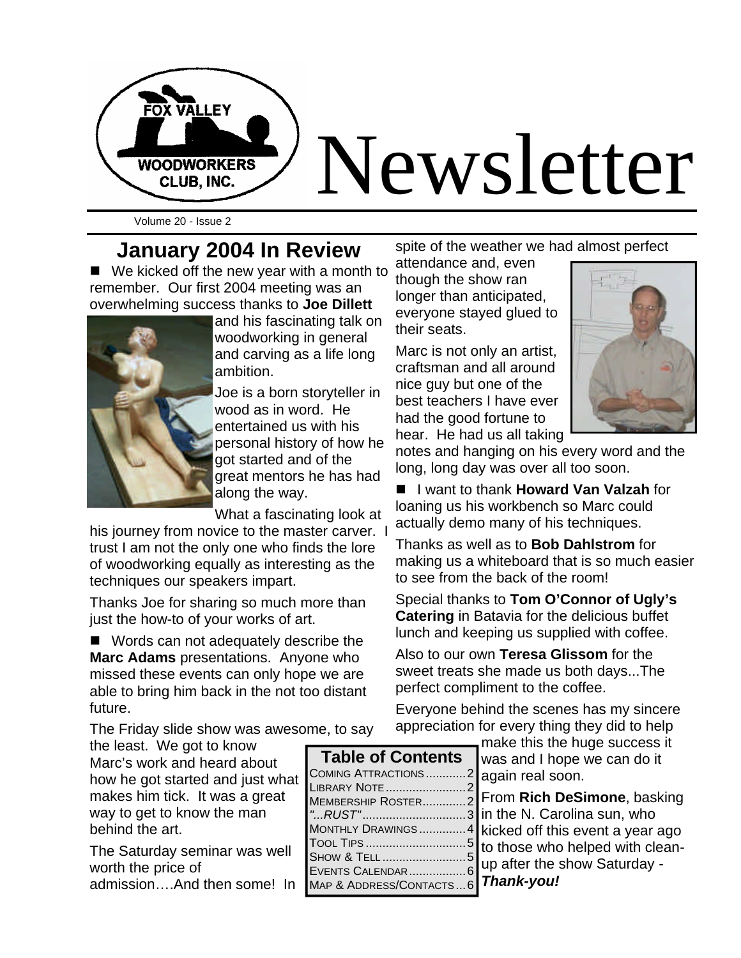

Volume 20 - Issue 2

### **January 2004 In Review**

 $\blacksquare$  We kicked off the new year with a month to remember. Our first 2004 meeting was an overwhelming success thanks to **Joe Dillett** 



and his fascinating talk on woodworking in general and carving as a life long ambition.

Joe is a born storyteller in wood as in word. He entertained us with his personal history of how he got started and of the great mentors he has had along the way.

What a fascinating look at

his journey from novice to the master carver. I trust I am not the only one who finds the lore of woodworking equally as interesting as the techniques our speakers impart.

Thanks Joe for sharing so much more than just the how-to of your works of art.

 $\blacksquare$  Words can not adequately describe the **Marc Adams** presentations. Anyone who missed these events can only hope we are able to bring him back in the not too distant future.

The Friday slide show was awesome, to say

the least. We got to know Marc's work and heard about how he got started and just what makes him tick. It was a great way to get to know the man behind the art.

The Saturday seminar was well worth the price of admission….And then some! In spite of the weather we had almost perfect

attendance and, even though the show ran longer than anticipated, everyone stayed glued to their seats.

Marc is not only an artist, craftsman and all around nice guy but one of the best teachers I have ever had the good fortune to hear. He had us all taking



notes and hanging on his every word and the long, long day was over all too soon.

■ I want to thank **Howard Van Valzah** for loaning us his workbench so Marc could actually demo many of his techniques.

Thanks as well as to **Bob Dahlstrom** for making us a whiteboard that is so much easier to see from the back of the room!

Special thanks to **Tom O'Connor of Ugly's Catering** in Batavia for the delicious buffet lunch and keeping us supplied with coffee.

Also to our own **Teresa Glissom** for the sweet treats she made us both days...The perfect compliment to the coffee.

Everyone behind the scenes has my sincere appreciation for every thing they did to help

> make this the huge success it was and I hope we can do it again real soon.

From **Rich DeSimone**, basking in the N. Carolina sun, who kicked off this event a year ago to those who helped with cleanup after the show Saturday - *Thank-you!* 

| <b>Table of Contents</b> |    |
|--------------------------|----|
| COMING ATTRACTIONS2      | l, |
| LIBRARY NOTE 2           |    |
| MEMBERSHIP ROSTER2       |    |
| "RUST"3 i                |    |
| MONTHLY DRAWINGS4        |    |
|                          |    |
| SHOW & TELL5             |    |
| EVENTS CALENDAR 6        |    |
| MAP & ADDRESS/CONTACTS6  |    |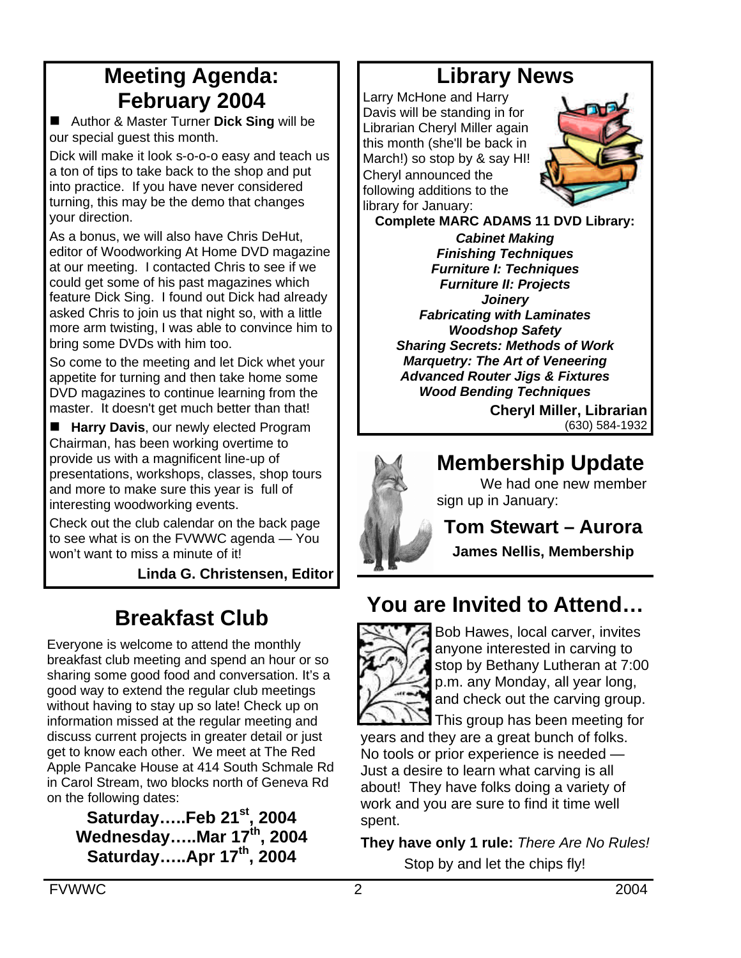## **Meeting Agenda: February 2004**

■ Author & Master Turner **Dick Sing** will be our special guest this month.

Dick will make it look s-o-o-o easy and teach us a ton of tips to take back to the shop and put into practice. If you have never considered turning, this may be the demo that changes your direction.

As a bonus, we will also have Chris DeHut, editor of Woodworking At Home DVD magazine at our meeting. I contacted Chris to see if we could get some of his past magazines which feature Dick Sing. I found out Dick had already asked Chris to join us that night so, with a little more arm twisting, I was able to convince him to bring some DVDs with him too.

So come to the meeting and let Dick whet your appetite for turning and then take home some DVD magazines to continue learning from the master. It doesn't get much better than that!

**Harry Davis**, our newly elected Program Chairman, has been working overtime to provide us with a magnificent line-up of presentations, workshops, classes, shop tours and more to make sure this year is full of interesting woodworking events.

Check out the club calendar on the back page to see what is on the FVWWC agenda — You won't want to miss a minute of it!

**Linda G. Christensen, Editor**

## **Breakfast Club**

Everyone is welcome to attend the monthly breakfast club meeting and spend an hour or so sharing some good food and conversation. It's a good way to extend the regular club meetings without having to stay up so late! Check up on information missed at the regular meeting and discuss current projects in greater detail or just get to know each other. We meet at The Red Apple Pancake House at 414 South Schmale Rd in Carol Stream, two blocks north of Geneva Rd on the following dates:

**Saturday…..Feb 21st, 2004 Wednesday…..Mar 17th, 2004 Saturday…..Apr 17th, 2004**

## **Library News**

Larry McHone and Harry Davis will be standing in for Librarian Cheryl Miller again this month (she'll be back in March!) so stop by & say HI! Cheryl announced the following additions to the library for January:



**Complete MARC ADAMS 11 DVD Library:**

*Cabinet Making Finishing Techniques Furniture I: Techniques Furniture II: Projects Joinery Fabricating with Laminates Woodshop Safety Sharing Secrets: Methods of Work Marquetry: The Art of Veneering Advanced Router Jigs & Fixtures Wood Bending Techniques*

**Cheryl Miller, Librarian** (630) 584-1932



## **Membership Update**

We had one new member sign up in January:

**Tom Stewart – Aurora**

**James Nellis, Membership**

## **You are Invited to Attend…**



Bob Hawes, local carver, invites anyone interested in carving to stop by Bethany Lutheran at 7:00 p.m. any Monday, all year long, and check out the carving group.

This group has been meeting for years and they are a great bunch of folks. No tools or prior experience is needed — Just a desire to learn what carving is all about! They have folks doing a variety of work and you are sure to find it time well spent.

**They have only 1 rule:** *There Are No Rules!* Stop by and let the chips fly!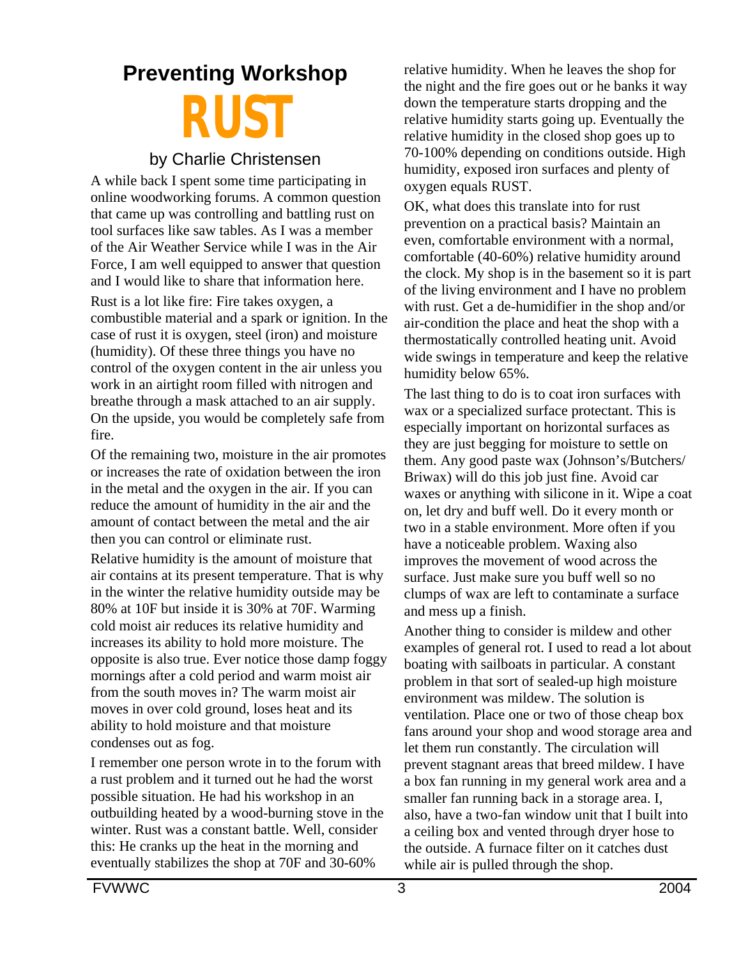# **Preventing Workshop RUST**

#### by Charlie Christensen

A while back I spent some time participating in online woodworking forums. A common question that came up was controlling and battling rust on tool surfaces like saw tables. As I was a member of the Air Weather Service while I was in the Air Force, I am well equipped to answer that question and I would like to share that information here.

Rust is a lot like fire: Fire takes oxygen, a combustible material and a spark or ignition. In the case of rust it is oxygen, steel (iron) and moisture (humidity). Of these three things you have no control of the oxygen content in the air unless you work in an airtight room filled with nitrogen and breathe through a mask attached to an air supply. On the upside, you would be completely safe from fire.

Of the remaining two, moisture in the air promotes or increases the rate of oxidation between the iron in the metal and the oxygen in the air. If you can reduce the amount of humidity in the air and the amount of contact between the metal and the air then you can control or eliminate rust.

Relative humidity is the amount of moisture that air contains at its present temperature. That is why in the winter the relative humidity outside may be 80% at 10F but inside it is 30% at 70F. Warming cold moist air reduces its relative humidity and increases its ability to hold more moisture. The opposite is also true. Ever notice those damp foggy mornings after a cold period and warm moist air from the south moves in? The warm moist air moves in over cold ground, loses heat and its ability to hold moisture and that moisture condenses out as fog.

I remember one person wrote in to the forum with a rust problem and it turned out he had the worst possible situation. He had his workshop in an outbuilding heated by a wood-burning stove in the winter. Rust was a constant battle. Well, consider this: He cranks up the heat in the morning and eventually stabilizes the shop at 70F and 30-60%

relative humidity. When he leaves the shop for the night and the fire goes out or he banks it way down the temperature starts dropping and the relative humidity starts going up. Eventually the relative humidity in the closed shop goes up to 70-100% depending on conditions outside. High humidity, exposed iron surfaces and plenty of oxygen equals RUST.

OK, what does this translate into for rust prevention on a practical basis? Maintain an even, comfortable environment with a normal, comfortable (40-60%) relative humidity around the clock. My shop is in the basement so it is part of the living environment and I have no problem with rust. Get a de-humidifier in the shop and/or air-condition the place and heat the shop with a thermostatically controlled heating unit. Avoid wide swings in temperature and keep the relative humidity below 65%.

The last thing to do is to coat iron surfaces with wax or a specialized surface protectant. This is especially important on horizontal surfaces as they are just begging for moisture to settle on them. Any good paste wax (Johnson's/Butchers/ Briwax) will do this job just fine. Avoid car waxes or anything with silicone in it. Wipe a coat on, let dry and buff well. Do it every month or two in a stable environment. More often if you have a noticeable problem. Waxing also improves the movement of wood across the surface. Just make sure you buff well so no clumps of wax are left to contaminate a surface and mess up a finish.

Another thing to consider is mildew and other examples of general rot. I used to read a lot about boating with sailboats in particular. A constant problem in that sort of sealed-up high moisture environment was mildew. The solution is ventilation. Place one or two of those cheap box fans around your shop and wood storage area and let them run constantly. The circulation will prevent stagnant areas that breed mildew. I have a box fan running in my general work area and a smaller fan running back in a storage area. I, also, have a two-fan window unit that I built into a ceiling box and vented through dryer hose to the outside. A furnace filter on it catches dust while air is pulled through the shop.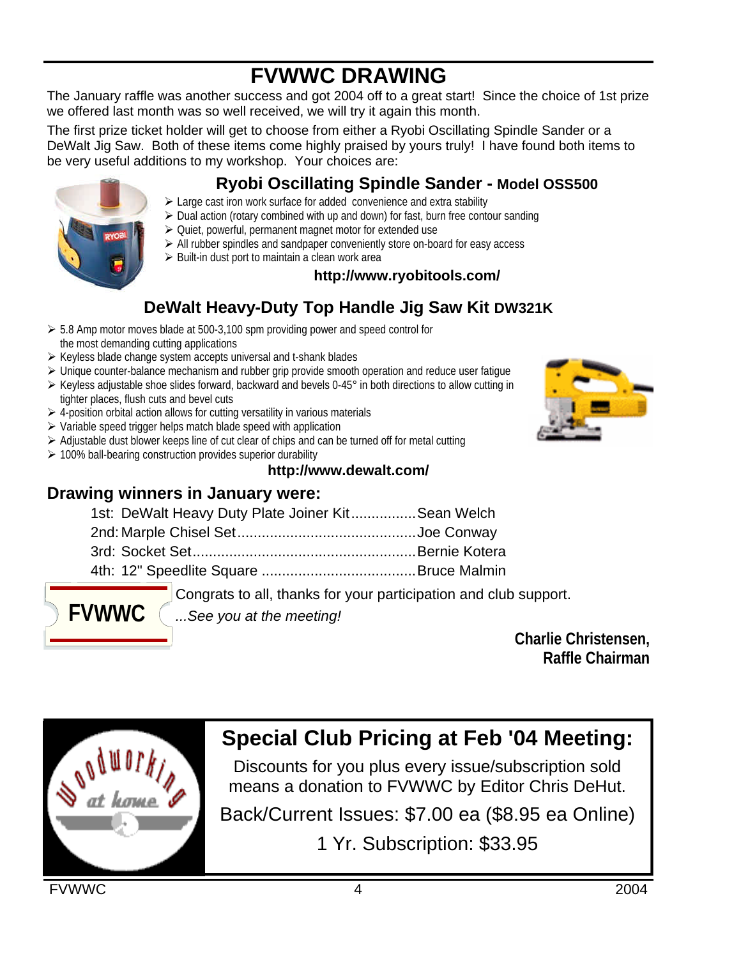## **FVWWC DRAWING**

The January raffle was another success and got 2004 off to a great start! Since the choice of 1st prize we offered last month was so well received, we will try it again this month.

The first prize ticket holder will get to choose from either a Ryobi Oscillating Spindle Sander or a DeWalt Jig Saw. Both of these items come highly praised by yours truly! I have found both items to be very useful additions to my workshop. Your choices are:

## **Ryobi Oscillating Spindle Sander - Model OSS500**

- $\geq$  Large cast iron work surface for added convenience and extra stability
- $\triangleright$  Dual action (rotary combined with up and down) for fast, burn free contour sanding
- $\geq$  Quiet, powerful, permanent magnet motor for extended use
	- $\triangleright$  All rubber spindles and sandpaper conveniently store on-board for easy access
	- $\triangleright$  Built-in dust port to maintain a clean work area

#### **http://www.ryobitools.com/**

## **DeWalt Heavy-Duty Top Handle Jig Saw Kit DW321K**

- $\geq 5.8$  Amp motor moves blade at 500-3,100 spm providing power and speed control for the most demanding cutting applications
- $\triangleright$  Keyless blade change system accepts universal and t-shank blades
- $\triangleright$  Unique counter-balance mechanism and rubber grip provide smooth operation and reduce user fatigue
- ÿ Keyless adjustable shoe slides forward, backward and bevels 0-45° in both directions to allow cutting in tighter places, flush cuts and bevel cuts
- $\triangleright$  4-position orbital action allows for cutting versatility in various materials
- $\triangleright$  Variable speed trigger helps match blade speed with application
- $\triangleright$  Adjustable dust blower keeps line of cut clear of chips and can be turned off for metal cutting
- $\geq 100\%$  ball-bearing construction provides superior durability

#### **http://www.dewalt.com/**

#### **Drawing winners in January were:**

| 1st: DeWalt Heavy Duty Plate Joiner KitSean Welch |  |  |
|---------------------------------------------------|--|--|

2nd: Marple Chisel Set............................................Joe Conway 3rd: Socket Set.......................................................Bernie Kotera

4th: 12" Speedlite Square ......................................Bruce Malmin

Congrats to all, thanks for your participation and club support.

*...See you at the meeting!*

**Charlie Christensen, Raffle Chairman**

## **Special Club Pricing at Feb '04 Meeting:**

Discounts for you plus every issue/subscription sold means a donation to FVWWC by Editor Chris DeHut.

Back/Current Issues: \$7.00 ea (\$8.95 ea Online)

1 Yr. Subscription: \$33.95





**FVWWC**

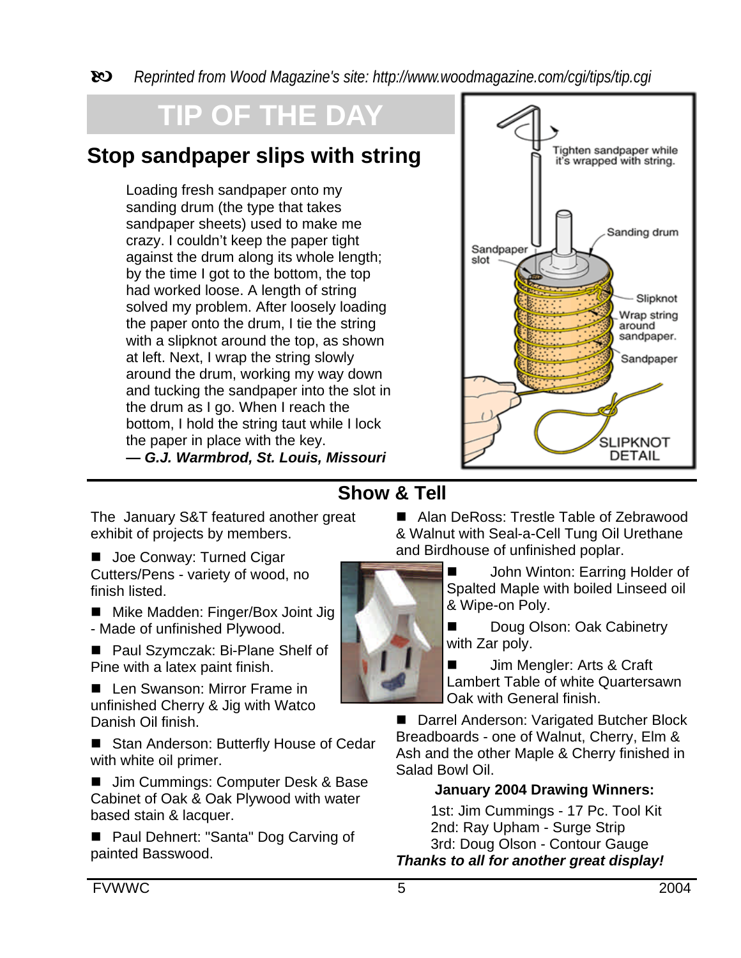b *Reprinted from Wood Magazine's site: http://www.woodmagazine.com/cgi/tips/tip.cgi*

# **OF THE DAY**

## **Stop sandpaper slips with string**

Loading fresh sandpaper onto my sanding drum (the type that takes sandpaper sheets) used to make me crazy. I couldn't keep the paper tight against the drum along its whole length; by the time I got to the bottom, the top had worked loose. A length of string solved my problem. After loosely loading the paper onto the drum, I tie the string with a slipknot around the top, as shown at left. Next, I wrap the string slowly around the drum, working my way down and tucking the sandpaper into the slot in the drum as I go. When I reach the bottom, I hold the string taut while I lock the paper in place with the key. **—** *G.J. Warmbrod, St. Louis, Missouri*



#### **Show & Tell**

The January S&T featured another great exhibit of projects by members.

■ Joe Conway: Turned Cigar Cutters/Pens - variety of wood, no finish listed.

■ Mike Madden: Finger/Box Joint Jig - Made of unfinished Plywood.

■ Paul Szymczak: Bi-Plane Shelf of Pine with a latex paint finish.

■ Len Swanson: Mirror Frame in unfinished Cherry & Jig with Watco Danish Oil finish.

■ Stan Anderson: Butterfly House of Cedar with white oil primer.

■ Jim Cummings: Computer Desk & Base Cabinet of Oak & Oak Plywood with water based stain & lacquer.

■ Paul Dehnert: "Santa" Dog Carving of painted Basswood.

■ Alan DeRoss: Trestle Table of Zebrawood & Walnut with Seal-a-Cell Tung Oil Urethane and Birdhouse of unfinished poplar.

■ John Winton: Earring Holder of Spalted Maple with boiled Linseed oil & Wipe-on Poly.

Doug Olson: Oak Cabinetry with Zar poly.

■ Jim Mengler: Arts & Craft Lambert Table of white Quartersawn Oak with General finish.

■ Darrel Anderson: Varigated Butcher Block Breadboards - one of Walnut, Cherry, Elm & Ash and the other Maple & Cherry finished in Salad Bowl Oil.

#### **January 2004 Drawing Winners:**

1st: Jim Cummings - 17 Pc. Tool Kit 2nd: Ray Upham - Surge Strip 3rd: Doug Olson - Contour Gauge *Thanks to all for another great display!*